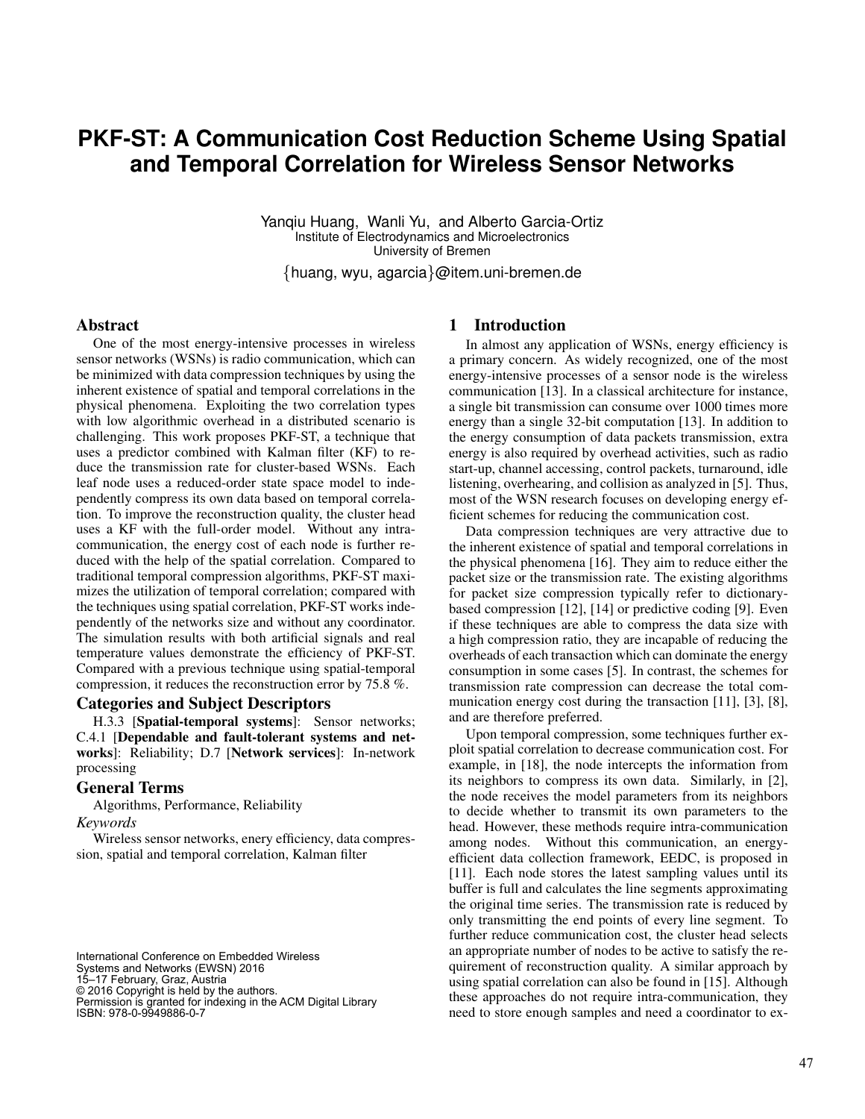# **PKF-ST: A Communication Cost Reduction Scheme Using Spatial and Temporal Correlation for Wireless Sensor Networks**

Yanqiu Huang, Wanli Yu, and Alberto Garcia-Ortiz Institute of Electrodynamics and Microelectronics University of Bremen

{huang, wyu, agarcia}@item.uni-bremen.de

#### Abstract

One of the most energy-intensive processes in wireless sensor networks (WSNs) is radio communication, which can be minimized with data compression techniques by using the inherent existence of spatial and temporal correlations in the physical phenomena. Exploiting the two correlation types with low algorithmic overhead in a distributed scenario is challenging. This work proposes PKF-ST, a technique that uses a predictor combined with Kalman filter (KF) to reduce the transmission rate for cluster-based WSNs. Each leaf node uses a reduced-order state space model to independently compress its own data based on temporal correlation. To improve the reconstruction quality, the cluster head uses a KF with the full-order model. Without any intracommunication, the energy cost of each node is further reduced with the help of the spatial correlation. Compared to traditional temporal compression algorithms, PKF-ST maximizes the utilization of temporal correlation; compared with the techniques using spatial correlation, PKF-ST works independently of the networks size and without any coordinator. The simulation results with both artificial signals and real temperature values demonstrate the efficiency of PKF-ST. Compared with a previous technique using spatial-temporal compression, it reduces the reconstruction error by 75.8 %.

#### Categories and Subject Descriptors

H.3.3 [Spatial-temporal systems]: Sensor networks; C.4.1 [Dependable and fault-tolerant systems and networks]: Reliability; D.7 [Network services]: In-network processing

#### General Terms

Algorithms, Performance, Reliability

## *Keywords*

Wireless sensor networks, enery efficiency, data compression, spatial and temporal correlation, Kalman filter

International Conference on Embedded Wireless Systems and Networks (EWSN) 2016 15–17 February, Graz, Austria © 2016 Copyright is held by the authors. Permission is granted for indexing in the ACM Digital Library ISBN: 978-0-9949886-0-7

## 1 Introduction

In almost any application of WSNs, energy efficiency is a primary concern. As widely recognized, one of the most energy-intensive processes of a sensor node is the wireless communication [13]. In a classical architecture for instance, a single bit transmission can consume over 1000 times more energy than a single 32-bit computation [13]. In addition to the energy consumption of data packets transmission, extra energy is also required by overhead activities, such as radio start-up, channel accessing, control packets, turnaround, idle listening, overhearing, and collision as analyzed in [5]. Thus, most of the WSN research focuses on developing energy efficient schemes for reducing the communication cost.

Data compression techniques are very attractive due to the inherent existence of spatial and temporal correlations in the physical phenomena [16]. They aim to reduce either the packet size or the transmission rate. The existing algorithms for packet size compression typically refer to dictionarybased compression [12], [14] or predictive coding [9]. Even if these techniques are able to compress the data size with a high compression ratio, they are incapable of reducing the overheads of each transaction which can dominate the energy consumption in some cases [5]. In contrast, the schemes for transmission rate compression can decrease the total communication energy cost during the transaction [11], [3], [8], and are therefore preferred.

Upon temporal compression, some techniques further exploit spatial correlation to decrease communication cost. For example, in [18], the node intercepts the information from its neighbors to compress its own data. Similarly, in [2], the node receives the model parameters from its neighbors to decide whether to transmit its own parameters to the head. However, these methods require intra-communication among nodes. Without this communication, an energyefficient data collection framework, EEDC, is proposed in [11]. Each node stores the latest sampling values until its buffer is full and calculates the line segments approximating the original time series. The transmission rate is reduced by only transmitting the end points of every line segment. To further reduce communication cost, the cluster head selects an appropriate number of nodes to be active to satisfy the requirement of reconstruction quality. A similar approach by using spatial correlation can also be found in [15]. Although these approaches do not require intra-communication, they need to store enough samples and need a coordinator to ex-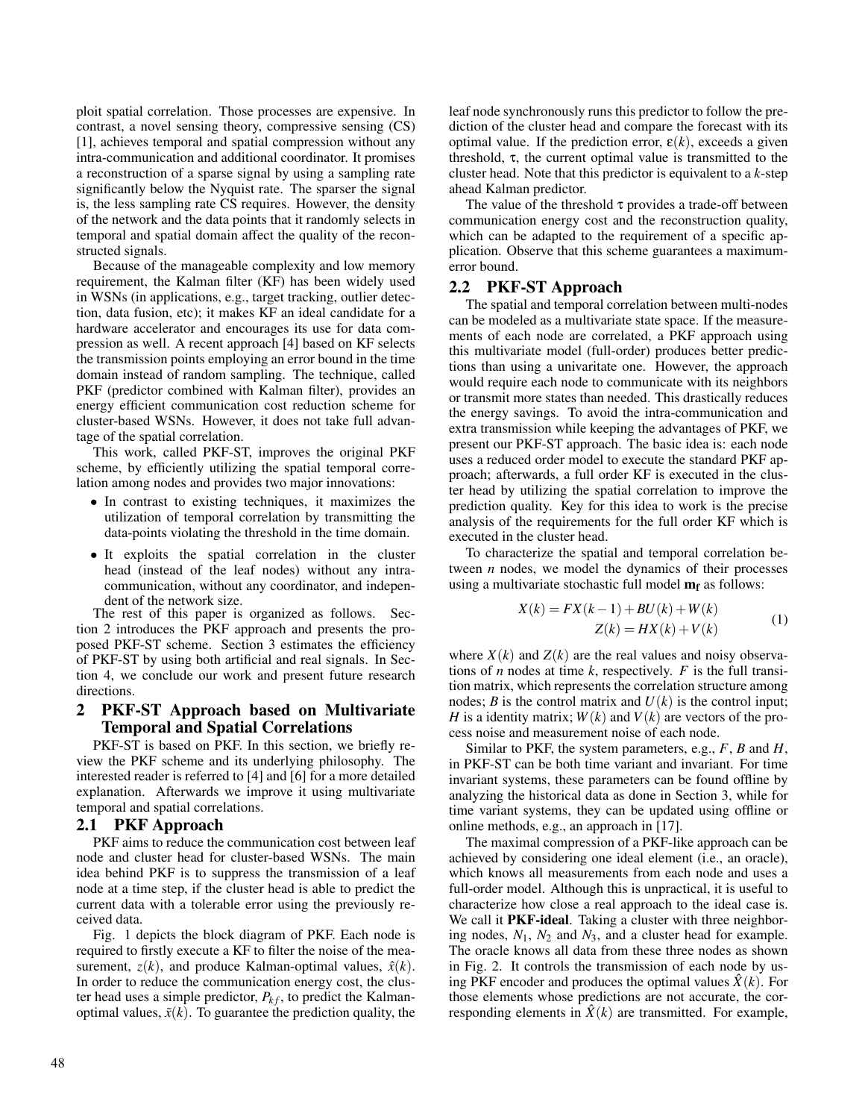ploit spatial correlation. Those processes are expensive. In contrast, a novel sensing theory, compressive sensing (CS) [1], achieves temporal and spatial compression without any intra-communication and additional coordinator. It promises a reconstruction of a sparse signal by using a sampling rate significantly below the Nyquist rate. The sparser the signal is, the less sampling rate CS requires. However, the density of the network and the data points that it randomly selects in temporal and spatial domain affect the quality of the reconstructed signals.

Because of the manageable complexity and low memory requirement, the Kalman filter (KF) has been widely used in WSNs (in applications, e.g., target tracking, outlier detection, data fusion, etc); it makes KF an ideal candidate for a hardware accelerator and encourages its use for data compression as well. A recent approach [4] based on KF selects the transmission points employing an error bound in the time domain instead of random sampling. The technique, called PKF (predictor combined with Kalman filter), provides an energy efficient communication cost reduction scheme for cluster-based WSNs. However, it does not take full advantage of the spatial correlation.

This work, called PKF-ST, improves the original PKF scheme, by efficiently utilizing the spatial temporal correlation among nodes and provides two major innovations:

- In contrast to existing techniques, it maximizes the utilization of temporal correlation by transmitting the data-points violating the threshold in the time domain.
- It exploits the spatial correlation in the cluster head (instead of the leaf nodes) without any intracommunication, without any coordinator, and independent of the network size.

The rest of this paper is organized as follows. Section 2 introduces the PKF approach and presents the proposed PKF-ST scheme. Section 3 estimates the efficiency of PKF-ST by using both artificial and real signals. In Section 4, we conclude our work and present future research directions.

## 2 PKF-ST Approach based on Multivariate Temporal and Spatial Correlations

PKF-ST is based on PKF. In this section, we briefly review the PKF scheme and its underlying philosophy. The interested reader is referred to [4] and [6] for a more detailed explanation. Afterwards we improve it using multivariate temporal and spatial correlations.

#### 2.1 PKF Approach

PKF aims to reduce the communication cost between leaf node and cluster head for cluster-based WSNs. The main idea behind PKF is to suppress the transmission of a leaf node at a time step, if the cluster head is able to predict the current data with a tolerable error using the previously received data.

Fig. 1 depicts the block diagram of PKF. Each node is required to firstly execute a KF to filter the noise of the measurement,  $z(k)$ , and produce Kalman-optimal values,  $\hat{x}(k)$ . In order to reduce the communication energy cost, the cluster head uses a simple predictor,  $P_{kf}$ , to predict the Kalmanoptimal values,  $\tilde{x}(k)$ . To guarantee the prediction quality, the leaf node synchronously runs this predictor to follow the prediction of the cluster head and compare the forecast with its optimal value. If the prediction error,  $\varepsilon(k)$ , exceeds a given threshold,  $\tau$ , the current optimal value is transmitted to the cluster head. Note that this predictor is equivalent to a *k*-step ahead Kalman predictor.

The value of the threshold  $\tau$  provides a trade-off between communication energy cost and the reconstruction quality, which can be adapted to the requirement of a specific application. Observe that this scheme guarantees a maximumerror bound.

## 2.2 PKF-ST Approach

The spatial and temporal correlation between multi-nodes can be modeled as a multivariate state space. If the measurements of each node are correlated, a PKF approach using this multivariate model (full-order) produces better predictions than using a univaritate one. However, the approach would require each node to communicate with its neighbors or transmit more states than needed. This drastically reduces the energy savings. To avoid the intra-communication and extra transmission while keeping the advantages of PKF, we present our PKF-ST approach. The basic idea is: each node uses a reduced order model to execute the standard PKF approach; afterwards, a full order KF is executed in the cluster head by utilizing the spatial correlation to improve the prediction quality. Key for this idea to work is the precise analysis of the requirements for the full order KF which is executed in the cluster head.

To characterize the spatial and temporal correlation between *n* nodes, we model the dynamics of their processes using a multivariate stochastic full model  $m_f$  as follows:

$$
X(k) = FX(k-1) + BU(k) + W(k)
$$
  
\n
$$
Z(k) = HX(k) + V(k)
$$
 (1)

where  $X(k)$  and  $Z(k)$  are the real values and noisy observations of *n* nodes at time *k*, respectively. *F* is the full transition matrix, which represents the correlation structure among nodes; *B* is the control matrix and  $U(k)$  is the control input; *H* is a identity matrix;  $W(k)$  and  $V(k)$  are vectors of the process noise and measurement noise of each node.

Similar to PKF, the system parameters, e.g., *F*, *B* and *H*, in PKF-ST can be both time variant and invariant. For time invariant systems, these parameters can be found offline by analyzing the historical data as done in Section 3, while for time variant systems, they can be updated using offline or online methods, e.g., an approach in [17].

The maximal compression of a PKF-like approach can be achieved by considering one ideal element (i.e., an oracle), which knows all measurements from each node and uses a full-order model. Although this is unpractical, it is useful to characterize how close a real approach to the ideal case is. We call it **PKF-ideal**. Taking a cluster with three neighboring nodes,  $N_1$ ,  $N_2$  and  $N_3$ , and a cluster head for example. The oracle knows all data from these three nodes as shown in Fig. 2. It controls the transmission of each node by using PKF encoder and produces the optimal values  $\hat{X}(k)$ . For those elements whose predictions are not accurate, the corresponding elements in  $\hat{X}(k)$  are transmitted. For example,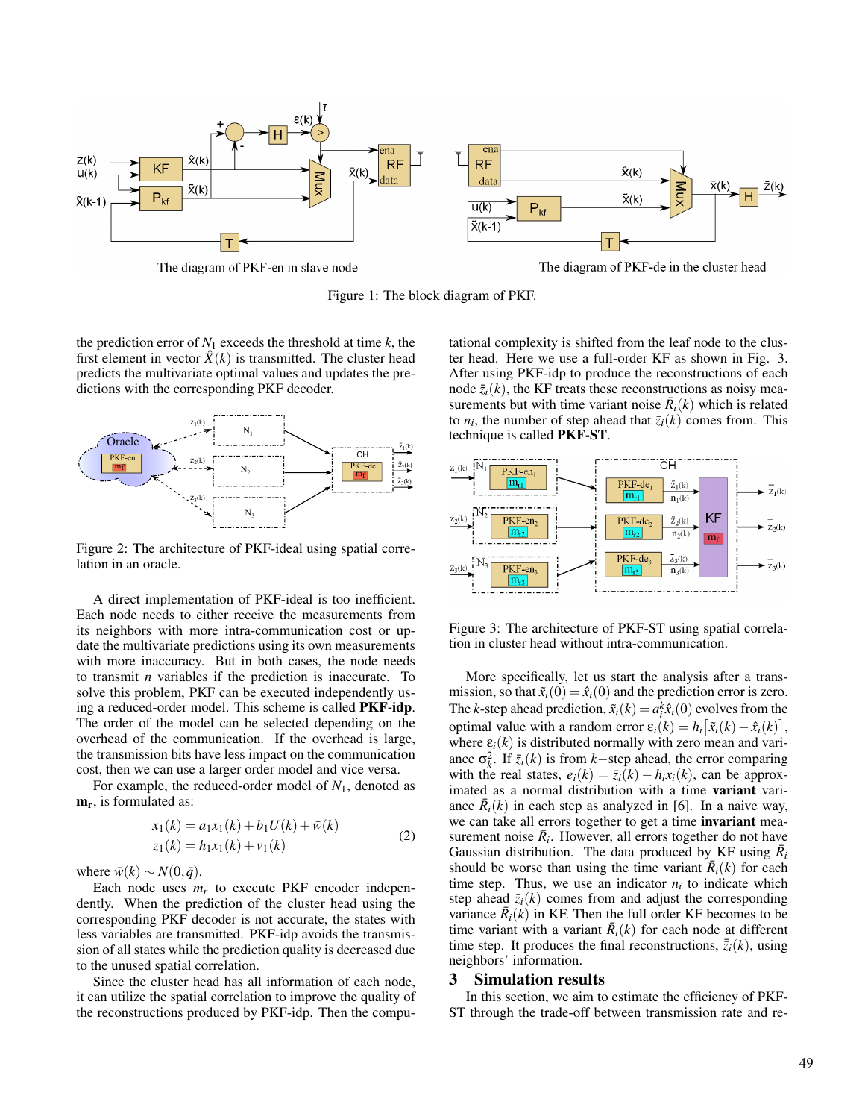

The diagram of PKF-en in slave node

The diagram of PKF-de in the cluster head



the prediction error of  $N_1$  exceeds the threshold at time  $k$ , the first element in vector  $\hat{X}(k)$  is transmitted. The cluster head predicts the multivariate optimal values and updates the predictions with the corresponding PKF decoder.



Figure 2: The architecture of PKF-ideal using spatial correlation in an oracle.

A direct implementation of PKF-ideal is too inefficient. Each node needs to either receive the measurements from its neighbors with more intra-communication cost or update the multivariate predictions using its own measurements with more inaccuracy. But in both cases, the node needs to transmit *n* variables if the prediction is inaccurate. To solve this problem, PKF can be executed independently using a reduced-order model. This scheme is called PKF-idp. The order of the model can be selected depending on the overhead of the communication. If the overhead is large, the transmission bits have less impact on the communication cost, then we can use a larger order model and vice versa.

For example, the reduced-order model of *N*1, denoted as  $m_r$ , is formulated as:

$$
x_1(k) = a_1x_1(k) + b_1U(k) + \bar{w}(k)
$$
  
\n
$$
z_1(k) = h_1x_1(k) + v_1(k)
$$
 (2)

where  $\bar{w}(k) \sim N(0, \bar{q})$ .

Each node uses  $m_r$  to execute PKF encoder independently. When the prediction of the cluster head using the corresponding PKF decoder is not accurate, the states with less variables are transmitted. PKF-idp avoids the transmission of all states while the prediction quality is decreased due to the unused spatial correlation.

Since the cluster head has all information of each node, it can utilize the spatial correlation to improve the quality of the reconstructions produced by PKF-idp. Then the computational complexity is shifted from the leaf node to the cluster head. Here we use a full-order KF as shown in Fig. 3. After using PKF-idp to produce the reconstructions of each node  $\bar{z}_i(k)$ , the KF treats these reconstructions as noisy measurements but with time variant noise  $\bar{R}_i(k)$  which is related to  $n_i$ , the number of step ahead that  $\bar{z}_i(k)$  comes from. This technique is called PKF-ST.



Figure 3: The architecture of PKF-ST using spatial correlation in cluster head without intra-communication.

More specifically, let us start the analysis after a transmission, so that  $\tilde{x}_i(0) = \hat{x}_i(0)$  and the prediction error is zero. The *k*-step ahead prediction,  $\tilde{x}_i(k) = a_i^k \hat{x}_i(0)$  evolves from the optimal value with a random error  $\varepsilon_i(k) = h_i \left[ \tilde{x}_i(k) - \hat{x}_i(k) \right],$ where  $\varepsilon_i(k)$  is distributed normally with zero mean and variance  $\sigma_k^2$ . If  $\bar{z}_i(k)$  is from *k*−step ahead, the error comparing with the real states,  $e_i(k) = \overline{z}_i(k) - h_i x_i(k)$ , can be approximated as a normal distribution with a time variant variance  $\bar{R}_i(k)$  in each step as analyzed in [6]. In a naive way, we can take all errors together to get a time invariant measurement noise  $\bar{R}_i$ . However, all errors together do not have Gaussian distribution. The data produced by KF using  $\bar{R}_i$ should be worse than using the time variant  $\overline{R}_i(k)$  for each time step. Thus, we use an indicator  $n_i$  to indicate which step ahead  $\bar{z}_i(k)$  comes from and adjust the corresponding variance  $\bar{R}_i(k)$  in KF. Then the full order KF becomes to be time variant with a variant  $\bar{R}_i(k)$  for each node at different time step. It produces the final reconstructions,  $\bar{z}_i(k)$ , using neighbors' information.

#### 3 Simulation results

In this section, we aim to estimate the efficiency of PKF-ST through the trade-off between transmission rate and re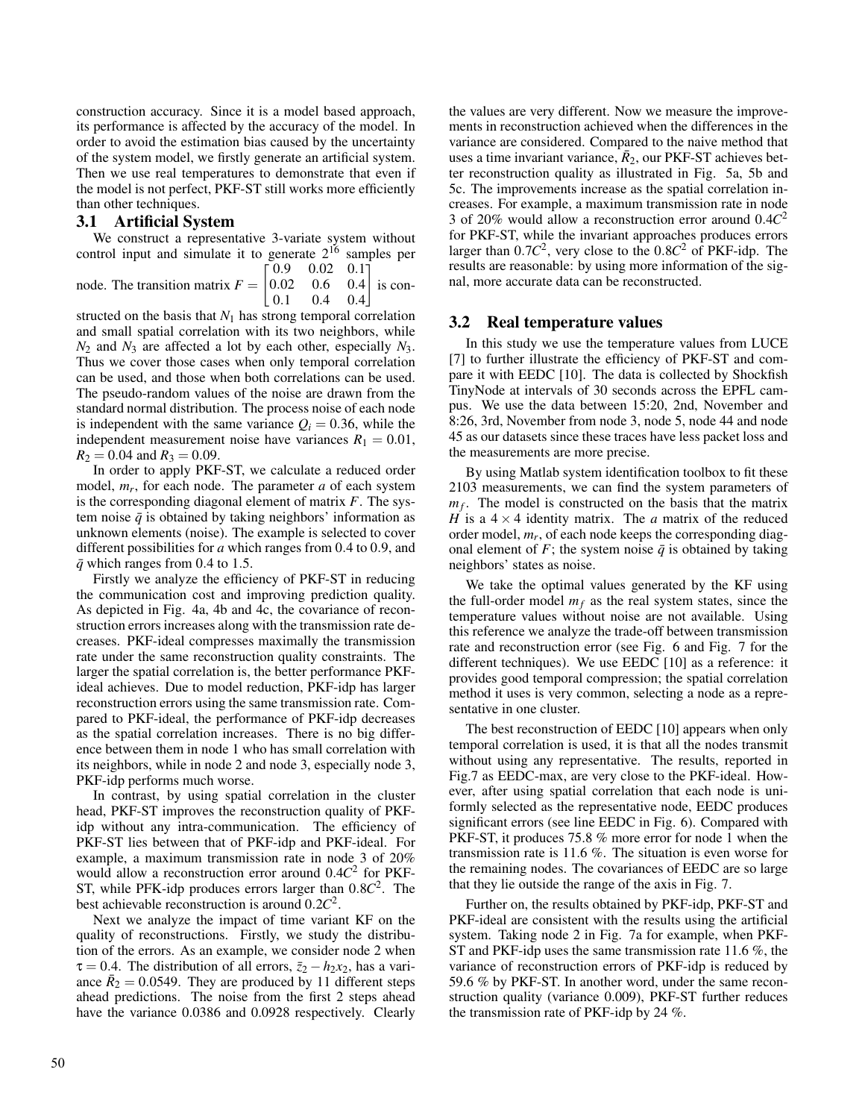construction accuracy. Since it is a model based approach, its performance is affected by the accuracy of the model. In order to avoid the estimation bias caused by the uncertainty of the system model, we firstly generate an artificial system. Then we use real temperatures to demonstrate that even if the model is not perfect, PKF-ST still works more efficiently than other techniques.

## 3.1 Artificial System

We construct a representative 3-variate system without control input and simulate it to generate  $2^{16}$  samples per

node. The transition matrix  $F = \begin{bmatrix} 0.02 \end{bmatrix}$  $\begin{bmatrix} 0.9 & 0.02 & 0.1 \end{bmatrix}$  $0.6$  $\begin{bmatrix} 0.1 & 0.4 & 0.4 \end{bmatrix}$  $0.4$  is con-

structed on the basis that  $N_1$  has strong temporal correlation and small spatial correlation with its two neighbors, while  $N_2$  and  $N_3$  are affected a lot by each other, especially  $N_3$ . Thus we cover those cases when only temporal correlation can be used, and those when both correlations can be used. The pseudo-random values of the noise are drawn from the standard normal distribution. The process noise of each node is independent with the same variance  $Q_i = 0.36$ , while the independent measurement noise have variances  $R_1 = 0.01$ ,  $R_2 = 0.04$  and  $R_3 = 0.09$ .

In order to apply PKF-ST, we calculate a reduced order model, *m<sup>r</sup>* , for each node. The parameter *a* of each system is the corresponding diagonal element of matrix *F*. The system noise  $\bar{q}$  is obtained by taking neighbors' information as unknown elements (noise). The example is selected to cover different possibilities for *a* which ranges from 0.4 to 0.9, and  $\bar{q}$  which ranges from 0.4 to 1.5.

Firstly we analyze the efficiency of PKF-ST in reducing the communication cost and improving prediction quality. As depicted in Fig. 4a, 4b and 4c, the covariance of reconstruction errors increases along with the transmission rate decreases. PKF-ideal compresses maximally the transmission rate under the same reconstruction quality constraints. The larger the spatial correlation is, the better performance PKFideal achieves. Due to model reduction, PKF-idp has larger reconstruction errors using the same transmission rate. Compared to PKF-ideal, the performance of PKF-idp decreases as the spatial correlation increases. There is no big difference between them in node 1 who has small correlation with its neighbors, while in node 2 and node 3, especially node 3, PKF-idp performs much worse.

In contrast, by using spatial correlation in the cluster head, PKF-ST improves the reconstruction quality of PKFidp without any intra-communication. The efficiency of PKF-ST lies between that of PKF-idp and PKF-ideal. For example, a maximum transmission rate in node 3 of 20% would allow a reconstruction error around 0.4*C* 2 for PKF-ST, while PFK-idp produces errors larger than 0.8*C* 2 . The best achievable reconstruction is around 0.2*C* 2 .

Next we analyze the impact of time variant KF on the quality of reconstructions. Firstly, we study the distribution of the errors. As an example, we consider node 2 when  $\tau = 0.4$ . The distribution of all errors,  $\bar{z}_2 - h_2 x_2$ , has a variance  $\bar{R}_2 = 0.0549$ . They are produced by 11 different steps ahead predictions. The noise from the first 2 steps ahead have the variance  $0.0386$  and  $0.0928$  respectively. Clearly the values are very different. Now we measure the improvements in reconstruction achieved when the differences in the variance are considered. Compared to the naive method that uses a time invariant variance,  $\bar{R}_2$ , our PKF-ST achieves better reconstruction quality as illustrated in Fig. 5a, 5b and 5c. The improvements increase as the spatial correlation increases. For example, a maximum transmission rate in node 3 of 20% would allow a reconstruction error around 0.4*C* 2 for PKF-ST, while the invariant approaches produces errors larger than  $0.7C^2$ , very close to the  $0.8C^2$  of PKF-idp. The results are reasonable: by using more information of the signal, more accurate data can be reconstructed.

#### 3.2 Real temperature values

In this study we use the temperature values from LUCE [7] to further illustrate the efficiency of PKF-ST and compare it with EEDC [10]. The data is collected by Shockfish TinyNode at intervals of 30 seconds across the EPFL campus. We use the data between 15:20, 2nd, November and 8:26, 3rd, November from node 3, node 5, node 44 and node 45 as our datasets since these traces have less packet loss and the measurements are more precise.

By using Matlab system identification toolbox to fit these 2103 measurements, we can find the system parameters of *mf* . The model is constructed on the basis that the matrix *H* is a  $4 \times 4$  identity matrix. The *a* matrix of the reduced order model, *m<sup>r</sup>* , of each node keeps the corresponding diagonal element of *F*; the system noise  $\bar{q}$  is obtained by taking neighbors' states as noise.

We take the optimal values generated by the KF using the full-order model  $m_f$  as the real system states, since the temperature values without noise are not available. Using this reference we analyze the trade-off between transmission rate and reconstruction error (see Fig. 6 and Fig. 7 for the different techniques). We use EEDC [10] as a reference: it provides good temporal compression; the spatial correlation method it uses is very common, selecting a node as a representative in one cluster.

The best reconstruction of EEDC [10] appears when only temporal correlation is used, it is that all the nodes transmit without using any representative. The results, reported in Fig.7 as EEDC-max, are very close to the PKF-ideal. However, after using spatial correlation that each node is uniformly selected as the representative node, EEDC produces significant errors (see line EEDC in Fig. 6). Compared with PKF-ST, it produces 75.8 % more error for node 1 when the transmission rate is 11.6 %. The situation is even worse for the remaining nodes. The covariances of EEDC are so large that they lie outside the range of the axis in Fig. 7.

Further on, the results obtained by PKF-idp, PKF-ST and PKF-ideal are consistent with the results using the artificial system. Taking node 2 in Fig. 7a for example, when PKF-ST and PKF-idp uses the same transmission rate 11.6 %, the variance of reconstruction errors of PKF-idp is reduced by 59.6 % by PKF-ST. In another word, under the same reconstruction quality (variance 0.009), PKF-ST further reduces the transmission rate of PKF-idp by 24 %.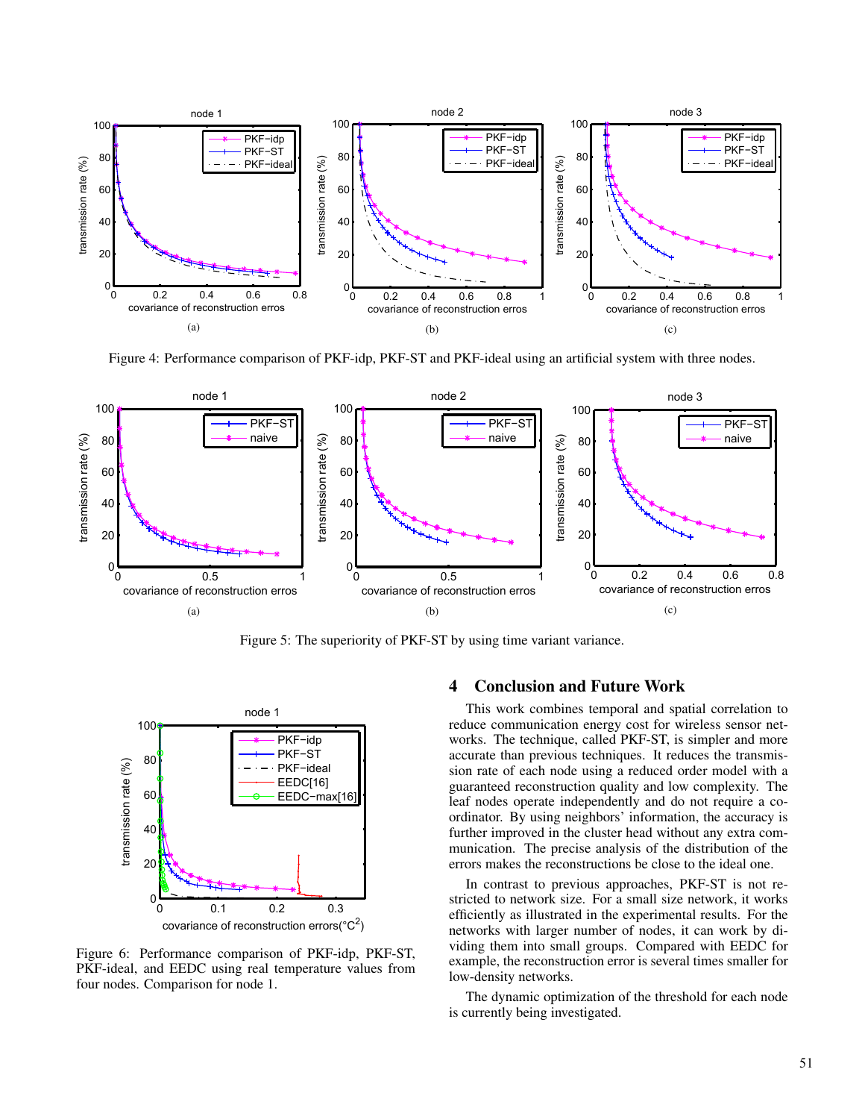

Figure 4: Performance comparison of PKF-idp, PKF-ST and PKF-ideal using an artificial system with three nodes.



Figure 5: The superiority of PKF-ST by using time variant variance.



Figure 6: Performance comparison of PKF-idp, PKF-ST, PKF-ideal, and EEDC using real temperature values from four nodes. Comparison for node 1.

## 4 Conclusion and Future Work

This work combines temporal and spatial correlation to reduce communication energy cost for wireless sensor networks. The technique, called PKF-ST, is simpler and more accurate than previous techniques. It reduces the transmission rate of each node using a reduced order model with a guaranteed reconstruction quality and low complexity. The leaf nodes operate independently and do not require a coordinator. By using neighbors' information, the accuracy is further improved in the cluster head without any extra communication. The precise analysis of the distribution of the errors makes the reconstructions be close to the ideal one.

In contrast to previous approaches, PKF-ST is not restricted to network size. For a small size network, it works efficiently as illustrated in the experimental results. For the networks with larger number of nodes, it can work by dividing them into small groups. Compared with EEDC for example, the reconstruction error is several times smaller for low-density networks.

The dynamic optimization of the threshold for each node is currently being investigated.